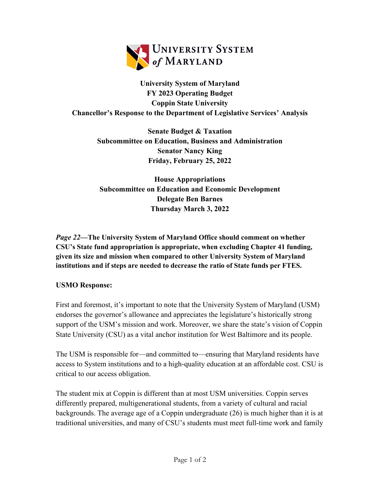

**University System of Maryland FY 2023 Operating Budget Coppin State University Chancellor's Response to the Department of Legislative Services' Analysis**

> **Senate Budget & Taxation Subcommittee on Education, Business and Administration Senator Nancy King Friday, February 25, 2022**

> **House Appropriations Subcommittee on Education and Economic Development Delegate Ben Barnes Thursday March 3, 2022**

*Page 22—***The University System of Maryland Office should comment on whether CSU's State fund appropriation is appropriate, when excluding Chapter 41 funding, given its size and mission when compared to other University System of Maryland institutions and if steps are needed to decrease the ratio of State funds per FTES.** 

## **USMO Response:**

First and foremost, it's important to note that the University System of Maryland (USM) endorses the governor's allowance and appreciates the legislature's historically strong support of the USM's mission and work. Moreover, we share the state's vision of Coppin State University (CSU) as a vital anchor institution for West Baltimore and its people.

The USM is responsible for—and committed to—ensuring that Maryland residents have access to System institutions and to a high-quality education at an affordable cost. CSU is critical to our access obligation.

The student mix at Coppin is different than at most USM universities. Coppin serves differently prepared, multigenerational students, from a variety of cultural and racial backgrounds. The average age of a Coppin undergraduate (26) is much higher than it is at traditional universities, and many of CSU's students must meet full-time work and family